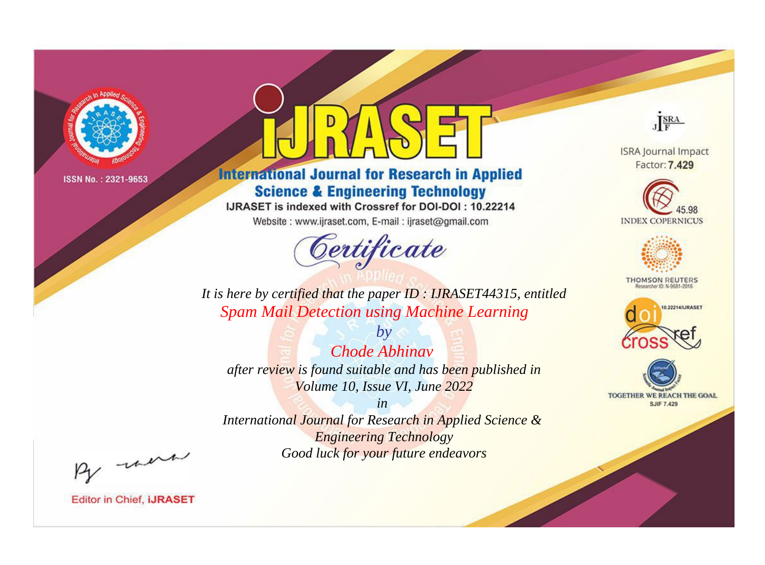

# **International Journal for Research in Applied Science & Engineering Technology**

IJRASET is indexed with Crossref for DOI-DOI: 10.22214

Website: www.ijraset.com, E-mail: ijraset@gmail.com



JERA

**ISRA Journal Impact** Factor: 7.429





**THOMSON REUTERS** 



TOGETHER WE REACH THE GOAL **SJIF 7.429** 

*It is here by certified that the paper ID : IJRASET44315, entitled Spam Mail Detection using Machine Learning*

*by Chode Abhinav after review is found suitable and has been published in Volume 10, Issue VI, June 2022*

*in* 

*International Journal for Research in Applied Science & Engineering Technology Good luck for your future endeavors*

By morn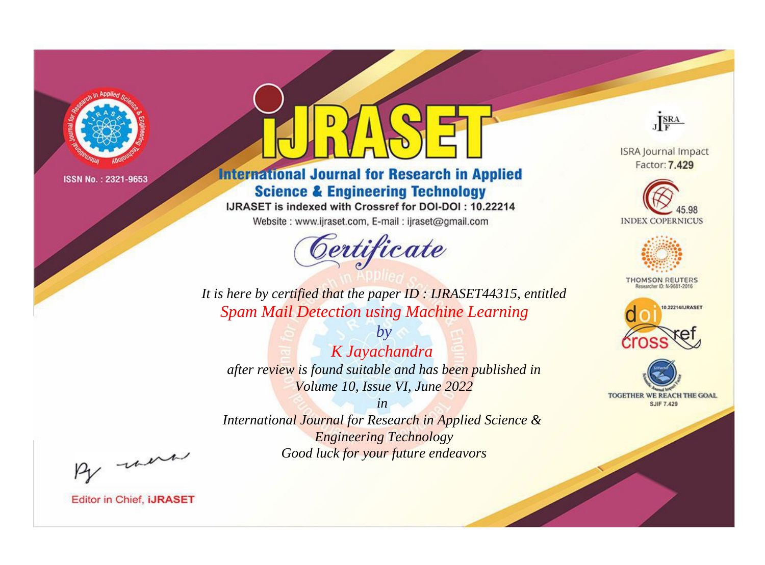

# **International Journal for Research in Applied Science & Engineering Technology**

IJRASET is indexed with Crossref for DOI-DOI: 10.22214

Website: www.ijraset.com, E-mail: ijraset@gmail.com



JERA

**ISRA Journal Impact** Factor: 7.429





**THOMSON REUTERS** 



TOGETHER WE REACH THE GOAL **SJIF 7.429** 

*It is here by certified that the paper ID : IJRASET44315, entitled Spam Mail Detection using Machine Learning*

*by K Jayachandra after review is found suitable and has been published in Volume 10, Issue VI, June 2022*

*in International Journal for Research in Applied Science &* 

> *Engineering Technology Good luck for your future endeavors*

By morn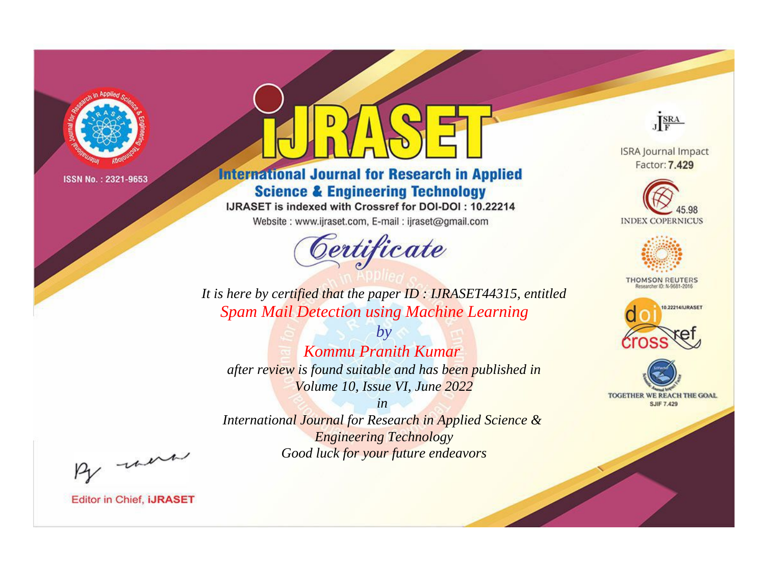

# **International Journal for Research in Applied Science & Engineering Technology**

IJRASET is indexed with Crossref for DOI-DOI: 10.22214

Website: www.ijraset.com, E-mail: ijraset@gmail.com



JERA

**ISRA Journal Impact** Factor: 7.429





**THOMSON REUTERS** 



TOGETHER WE REACH THE GOAL **SJIF 7.429** 

It is here by certified that the paper ID : IJRASET44315, entitled **Spam Mail Detection using Machine Learning** 

Kommu Pranith Kumar after review is found suitable and has been published in Volume 10, Issue VI, June 2022

 $b\nu$ 

 $in$ International Journal for Research in Applied Science & **Engineering Technology** Good luck for your future endeavors

By morn